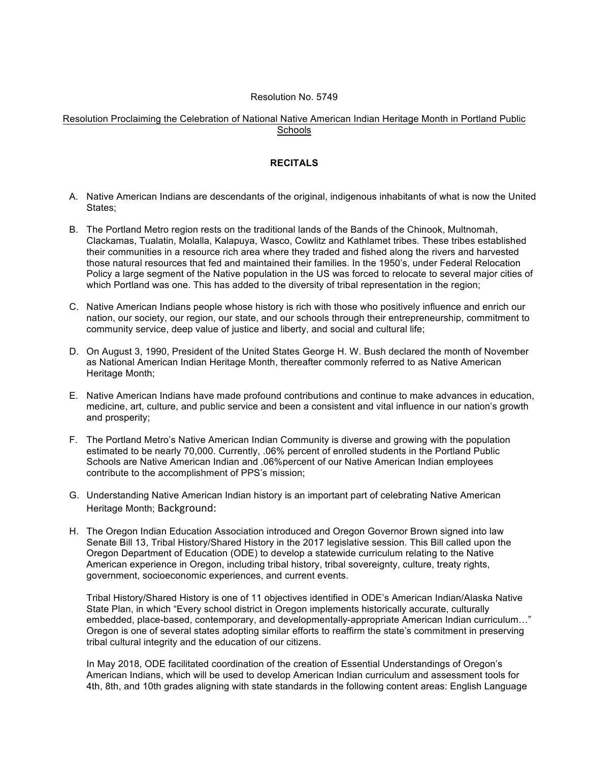## Resolution No. 5749

## Resolution Proclaiming the Celebration of National Native American Indian Heritage Month in Portland Public **Schools**

## **RECITALS**

- A. Native American Indians are descendants of the original, indigenous inhabitants of what is now the United States;
- B. The Portland Metro region rests on the traditional lands of the Bands of the Chinook, Multnomah, Clackamas, Tualatin, Molalla, Kalapuya, Wasco, Cowlitz and Kathlamet tribes. These tribes established their communities in a resource rich area where they traded and fished along the rivers and harvested those natural resources that fed and maintained their families. In the 1950's, under Federal Relocation Policy a large segment of the Native population in the US was forced to relocate to several major cities of which Portland was one. This has added to the diversity of tribal representation in the region;
- C. Native American Indians people whose history is rich with those who positively influence and enrich our nation, our society, our region, our state, and our schools through their entrepreneurship, commitment to community service, deep value of justice and liberty, and social and cultural life;
- D. On August 3, 1990, President of the United States George H. W. Bush declared the month of November as National American Indian Heritage Month, thereafter commonly referred to as Native American Heritage Month;
- E. Native American Indians have made profound contributions and continue to make advances in education, medicine, art, culture, and public service and been a consistent and vital influence in our nation's growth and prosperity;
- F. The Portland Metro's Native American Indian Community is diverse and growing with the population estimated to be nearly 70,000. Currently, .06% percent of enrolled students in the Portland Public Schools are Native American Indian and .06%percent of our Native American Indian employees contribute to the accomplishment of PPS's mission;
- G. Understanding Native American Indian history is an important part of celebrating Native American Heritage Month; Background:
- H. The Oregon Indian Education Association introduced and Oregon Governor Brown signed into law Senate Bill 13, Tribal History/Shared History in the 2017 legislative session. This Bill called upon the Oregon Department of Education (ODE) to develop a statewide curriculum relating to the Native American experience in Oregon, including tribal history, tribal sovereignty, culture, treaty rights, government, socioeconomic experiences, and current events.

Tribal History/Shared History is one of 11 objectives identified in ODE's American Indian/Alaska Native State Plan, in which "Every school district in Oregon implements historically accurate, culturally embedded, place-based, contemporary, and developmentally-appropriate American Indian curriculum…" Oregon is one of several states adopting similar efforts to reaffirm the state's commitment in preserving tribal cultural integrity and the education of our citizens.

In May 2018, ODE facilitated coordination of the creation of Essential Understandings of Oregon's American Indians, which will be used to develop American Indian curriculum and assessment tools for 4th, 8th, and 10th grades aligning with state standards in the following content areas: English Language